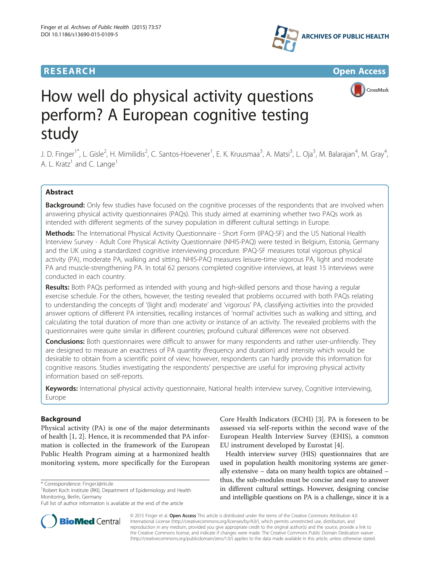





# How well do physical activity questions perform? A European cognitive testing study

J. D. Finger<sup>1\*</sup>, L. Gisle<sup>2</sup>, H. Mimilidis<sup>2</sup>, C. Santos-Hoevener<sup>1</sup>, E. K. Kruusmaa<sup>3</sup>, A. Matsi<sup>3</sup>, L. Oja<sup>3</sup>, M. Balarajan<sup>4</sup>, M. Gray<sup>4</sup> , A. L. Kratz<sup>1</sup> and C. Lange<sup>1</sup>

# Abstract

**Background:** Only few studies have focused on the cognitive processes of the respondents that are involved when answering physical activity questionnaires (PAQs). This study aimed at examining whether two PAQs work as intended with different segments of the survey population in different cultural settings in Europe.

Methods: The International Physical Activity Questionnaire - Short Form (IPAQ-SF) and the US National Health Interview Survey - Adult Core Physical Activity Questionnaire (NHIS-PAQ) were tested in Belgium, Estonia, Germany and the UK using a standardized cognitive interviewing procedure. IPAQ-SF measures total vigorous physical activity (PA), moderate PA, walking and sitting. NHIS-PAQ measures leisure-time vigorous PA, light and moderate PA and muscle-strengthening PA. In total 62 persons completed cognitive interviews, at least 15 interviews were conducted in each country.

Results: Both PAQs performed as intended with young and high-skilled persons and those having a regular exercise schedule. For the others, however, the testing revealed that problems occurred with both PAQs relating to understanding the concepts of '(light and) moderate' and 'vigorous' PA, classifying activities into the provided answer options of different PA intensities, recalling instances of 'normal' activities such as walking and sitting, and calculating the total duration of more than one activity or instance of an activity. The revealed problems with the questionnaires were quite similar in different countries; profound cultural differences were not observed.

**Conclusions:** Both questionnaires were difficult to answer for many respondents and rather user-unfriendly. They are designed to measure an exactness of PA quantity (frequency and duration) and intensity which would be desirable to obtain from a scientific point of view; however, respondents can hardly provide this information for cognitive reasons. Studies investigating the respondents' perspective are useful for improving physical activity information based on self-reports.

Keywords: International physical activity questionnaire, National health interview survey, Cognitive interviewing, Europe

# Background

Physical activity (PA) is one of the major determinants of health [\[1](#page-8-0), [2](#page-8-0)]. Hence, it is recommended that PA information is collected in the framework of the European Public Health Program aiming at a harmonized health monitoring system, more specifically for the European



Health interview survey (HIS) questionnaires that are used in population health monitoring systems are generally extensive – data on many health topics are obtained – thus, the sub-modules must be concise and easy to answer in different cultural settings. However, designing concise and intelligible questions on PA is a challenge, since it is a



© 2015 Finger et al. Open Access This article is distributed under the terms of the Creative Commons Attribution 4.0 International License [\(http://creativecommons.org/licenses/by/4.0/](http://creativecommons.org/licenses/by/4.0/)), which permits unrestricted use, distribution, and reproduction in any medium, provided you give appropriate credit to the original author(s) and the source, provide a link to the Creative Commons license, and indicate if changes were made. The Creative Commons Public Domain Dedication waiver [\(http://creativecommons.org/publicdomain/zero/1.0/](http://creativecommons.org/publicdomain/zero/1.0/)) applies to the data made available in this article, unless otherwise stated.

<sup>\*</sup> Correspondence: [FingerJ@rki.de](mailto:FingerJ@rki.de) <sup>1</sup>

<sup>&</sup>lt;sup>1</sup>Robert Koch Institute (RKI), Department of Epidemiology and Health Monitoring, Berlin, Germany

Full list of author information is available at the end of the article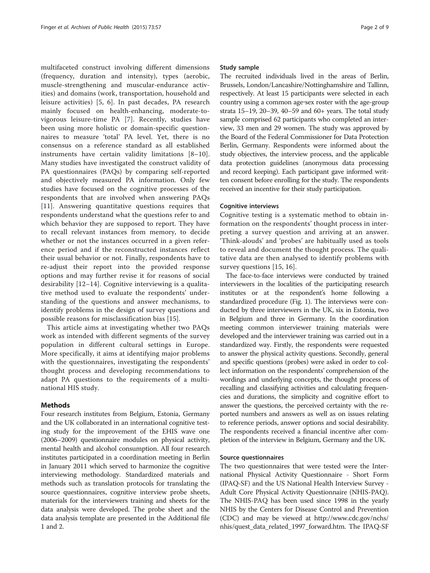multifaceted construct involving different dimensions (frequency, duration and intensity), types (aerobic, muscle-strengthening and muscular-endurance activities) and domains (work, transportation, household and leisure activities) [[5, 6\]](#page-8-0). In past decades, PA research mainly focused on health-enhancing, moderate-tovigorous leisure-time PA [[7\]](#page-8-0). Recently, studies have been using more holistic or domain-specific questionnaires to measure 'total' PA level. Yet, there is no consensus on a reference standard as all established instruments have certain validity limitations [[8](#page-8-0)–[10](#page-8-0)]. Many studies have investigated the construct validity of PA questionnaires (PAQs) by comparing self-reported and objectively measured PA information. Only few studies have focused on the cognitive processes of the respondents that are involved when answering PAQs [[11\]](#page-8-0). Answering quantitative questions requires that respondents understand what the questions refer to and which behavior they are supposed to report. They have to recall relevant instances from memory, to decide whether or not the instances occurred in a given reference period and if the reconstructed instances reflect their usual behavior or not. Finally, respondents have to re-adjust their report into the provided response options and may further revise it for reasons of social desirability [[12](#page-8-0)–[14\]](#page-8-0). Cognitive interviewing is a qualitative method used to evaluate the respondents' understanding of the questions and answer mechanisms, to identify problems in the design of survey questions and possible reasons for misclassification bias [\[15\]](#page-8-0).

This article aims at investigating whether two PAQs work as intended with different segments of the survey population in different cultural settings in Europe. More specifically, it aims at identifying major problems with the questionnaires, investigating the respondents' thought process and developing recommendations to adapt PA questions to the requirements of a multinational HIS study.

## Methods

Four research institutes from Belgium, Estonia, Germany and the UK collaborated in an international cognitive testing study for the improvement of the EHIS wave one (2006–2009) questionnaire modules on physical activity, mental health and alcohol consumption. All four research institutes participated in a coordination meeting in Berlin in January 2011 which served to harmonize the cognitive interviewing methodology. Standardized materials and methods such as translation protocols for translating the source questionnaires, cognitive interview probe sheets, materials for the interviewers training and sheets for the data analysis were developed. The probe sheet and the data analysis template are presented in the Additional file [1](#page-8-0) and [2](#page-8-0).

#### Study sample

The recruited individuals lived in the areas of Berlin, Brussels, London/Lancashire/Nottinghamshire and Tallinn, respectively. At least 15 participants were selected in each country using a common age‐sex roster with the age-group strata 15–19, 20–39, 40–59 and 60+ years. The total study sample comprised 62 participants who completed an interview, 33 men and 29 women. The study was approved by the Board of the Federal Commissioner for Data Protection Berlin, Germany. Respondents were informed about the study objectives, the interview process, and the applicable data protection guidelines (anonymous data processing and record keeping). Each participant gave informed written consent before enrolling for the study. The respondents received an incentive for their study participation.

#### Cognitive interviews

Cognitive testing is a systematic method to obtain information on the respondents' thought process in interpreting a survey question and arriving at an answer. 'Think-alouds' and 'probes' are habitually used as tools to reveal and document the thought process. The qualitative data are then analysed to identify problems with survey questions [[15, 16\]](#page-8-0).

The face-to-face interviews were conducted by trained interviewers in the localities of the participating research institutes or at the respondent's home following a standardized procedure (Fig. [1\)](#page-2-0). The interviews were conducted by three interviewers in the UK, six in Estonia, two in Belgium and three in Germany. In the coordination meeting common interviewer training materials were developed and the interviewer training was carried out in a standardized way. Firstly, the respondents were requested to answer the physical activity questions. Secondly, general and specific questions (probes) were asked in order to collect information on the respondents' comprehension of the wordings and underlying concepts, the thought process of recalling and classifying activities and calculating frequencies and durations, the simplicity and cognitive effort to answer the questions, the perceived certainty with the reported numbers and answers as well as on issues relating to reference periods, answer options and social desirability. The respondents received a financial incentive after completion of the interview in Belgium, Germany and the UK.

#### Source questionnaires

The two questionnaires that were tested were the International Physical Activity Questionnaire - Short Form (IPAQ-SF) and the US National Health Interview Survey - Adult Core Physical Activity Questionnaire (NHIS-PAQ). The NHIS-PAQ has been used since 1998 in the yearly NHIS by the Centers for Disease Control and Prevention (CDC) and may be viewed at [http://www.cdc.gov/nchs/](http://www.cdc.gov/nchs/nhis/quest_data_related_1997_forward.htm) [nhis/quest\\_data\\_related\\_1997\\_forward.htm](http://www.cdc.gov/nchs/nhis/quest_data_related_1997_forward.htm). The IPAQ-SF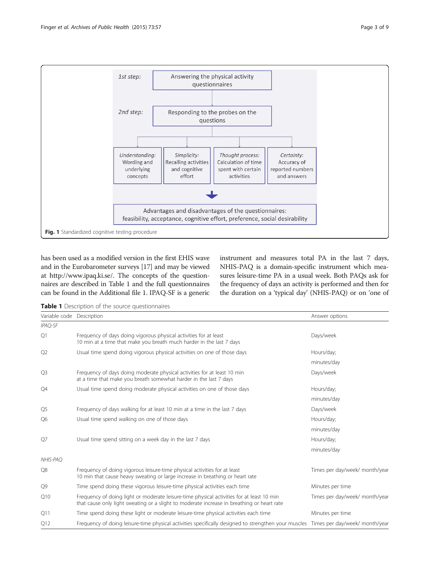<span id="page-2-0"></span>

has been used as a modified version in the first EHIS wave and in the Eurobarometer surveys [[17](#page-8-0)] and may be viewed at<http://www.ipaq.ki.se/>. The concepts of the questionnaires are described in Table 1 and the full questionnaires can be found in the Additional file [1](#page-8-0). IPAQ-SF is a generic

instrument and measures total PA in the last 7 days, NHIS-PAQ is a domain-specific instrument which measures leisure-time PA in a usual week. Both PAQs ask for the frequency of days an activity is performed and then for the duration on a 'typical day' (NHIS-PAQ) or on 'one of

Table 1 Description of the source questionnaires

| Variable code Description |                                                                                                                                                                                         | Answer options                 |
|---------------------------|-----------------------------------------------------------------------------------------------------------------------------------------------------------------------------------------|--------------------------------|
| IPAQ-SF                   |                                                                                                                                                                                         |                                |
| Q1                        | Frequency of days doing vigorous physical activities for at least<br>10 min at a time that make you breath much harder in the last 7 days                                               | Days/week                      |
| Q <sub>2</sub>            | Usual time spend doing vigorous physical activities on one of those days                                                                                                                | Hours/day;                     |
|                           |                                                                                                                                                                                         | minutes/day                    |
| Q <sub>3</sub>            | Frequency of days doing moderate physical activities for at least 10 min<br>at a time that make you breath somewhat harder in the last 7 days                                           | Days/week                      |
| Q4                        | Usual time spend doing moderate physical activities on one of those days                                                                                                                | Hours/day;                     |
|                           |                                                                                                                                                                                         | minutes/day                    |
| Q <sub>5</sub>            | Frequency of days walking for at least 10 min at a time in the last 7 days                                                                                                              | Days/week                      |
| Q <sub>6</sub>            | Usual time spend walking on one of those days                                                                                                                                           | Hours/day;                     |
|                           |                                                                                                                                                                                         | minutes/day                    |
| Q7                        | Usual time spend sitting on a week day in the last 7 days                                                                                                                               | Hours/day;                     |
|                           |                                                                                                                                                                                         | minutes/day                    |
| NHIS-PAQ                  |                                                                                                                                                                                         |                                |
| Q8                        | Frequency of doing vigorous leisure-time physical activities for at least<br>10 min that cause heavy sweating or large increase in breathing or heart rate                              | Times per day/week/ month/year |
| Q9                        | Time spend doing these vigorous leisure-time physical activities each time                                                                                                              | Minutes per time               |
| Q10                       | Frequency of doing light or moderate leisure-time physical activities for at least 10 min<br>that cause only light sweating or a slight to moderate increase in breathing or heart rate | Times per day/week/ month/year |
| Q11                       | Time spend doing these light or moderate leisure-time physical activities each time                                                                                                     | Minutes per time               |
| Q12                       | Frequency of doing leisure-time physical activities specifically designed to strengthen your muscles Times per day/week/month/year                                                      |                                |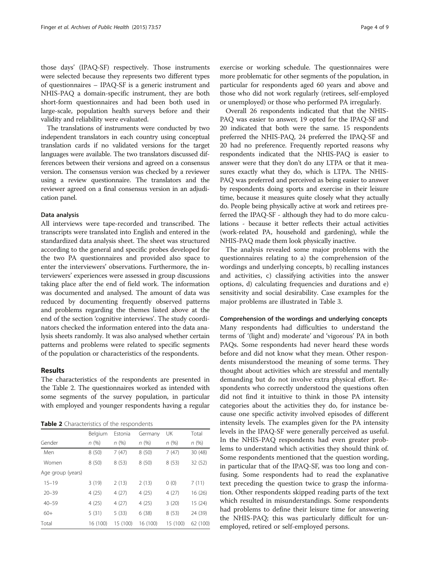those days' (IPAQ-SF) respectively. Those instruments were selected because they represents two different types of questionnaires – IPAQ-SF is a generic instrument and NHIS-PAQ a domain-specific instrument, they are both short-form questionnaires and had been both used in large-scale, population health surveys before and their validity and reliability were evaluated.

The translations of instruments were conducted by two independent translators in each country using conceptual translation cards if no validated versions for the target languages were available. The two translators discussed differences between their versions and agreed on a consensus version. The consensus version was checked by a reviewer using a review questionnaire. The translators and the reviewer agreed on a final consensus version in an adjudication panel.

#### Data analysis

All interviews were tape-recorded and transcribed. The transcripts were translated into English and entered in the standardized data analysis sheet. The sheet was structured according to the general and specific probes developed for the two PA questionnaires and provided also space to enter the interviewers' observations. Furthermore, the interviewers' experiences were assessed in group discussions taking place after the end of field work. The information was documented and analysed. The amount of data was reduced by documenting frequently observed patterns and problems regarding the themes listed above at the end of the section 'cognitive interviews'. The study coordinators checked the information entered into the data analysis sheets randomly. It was also analysed whether certain patterns and problems were related to specific segments of the population or characteristics of the respondents.

#### Results

The characteristics of the respondents are presented in the Table 2. The questionnaires worked as intended with some segments of the survey population, in particular with employed and younger respondents having a regular

Table 2 Characteristics of the respondents

|                   | Belgium  | Estonia  | Germany  | UK       | Total    |
|-------------------|----------|----------|----------|----------|----------|
| Gender            | n(%)     | n (%)    | n (%)    | n (%)    | n (%)    |
| Men               | 8(50)    | 7(47)    | 8(50)    | 7(47)    | 30(48)   |
| Women             | 8(50)    | 8(53)    | 8(50)    | 8(53)    | 32 (52)  |
| Age group (years) |          |          |          |          |          |
| $15 - 19$         | 3(19)    | 2(13)    | 2(13)    | 0(0)     | 7(11)    |
| $20 - 39$         | 4(25)    | 4(27)    | 4(25)    | 4(27)    | 16(26)   |
| $40 - 59$         | 4(25)    | 4(27)    | 4(25)    | 3(20)    | 15(24)   |
| $60+$             | 5(31)    | 5(33)    | 6(38)    | 8(53)    | 24 (39)  |
| Total             | 16 (100) | 15 (100) | 16 (100) | 15 (100) | 62 (100) |

exercise or working schedule. The questionnaires were more problematic for other segments of the population, in particular for respondents aged 60 years and above and those who did not work regularly (retirees, self-employed or unemployed) or those who performed PA irregularly.

Overall 26 respondents indicated that that the NHIS-PAQ was easier to answer, 19 opted for the IPAQ-SF and 20 indicated that both were the same. 15 respondents preferred the NHIS-PAQ, 24 preferred the IPAQ-SF and 20 had no preference. Frequently reported reasons why respondents indicated that the NHIS-PAQ is easier to answer were that they don't do any LTPA or that it measures exactly what they do, which is LTPA. The NHIS-PAQ was preferred and perceived as being easier to answer by respondents doing sports and exercise in their leisure time, because it measures quite closely what they actually do. People being physically active at work and retirees preferred the IPAQ-SF - although they had to do more calculations - because it better reflects their actual activities (work-related PA, household and gardening), while the NHIS-PAQ made them look physically inactive.

The analysis revealed some major problems with the questionnaires relating to a) the comprehension of the wordings and underlying concepts, b) recalling instances and activities, c) classifying activities into the answer options, d) calculating frequencies and durations and e) sensitivity and social desirability. Case examples for the major problems are illustrated in Table [3](#page-4-0).

#### Comprehension of the wordings and underlying concepts

Many respondents had difficulties to understand the terms of '(light and) moderate' and 'vigorous' PA in both PAQs. Some respondents had never heard these words before and did not know what they mean. Other respondents misunderstood the meaning of some terms. They thought about activities which are stressful and mentally demanding but do not involve extra physical effort. Respondents who correctly understood the questions often did not find it intuitive to think in those PA intensity categories about the activities they do, for instance because one specific activity involved episodes of different intensity levels. The examples given for the PA intensity levels in the IPAQ-SF were generally perceived as useful. In the NHIS-PAQ respondents had even greater problems to understand which activities they should think of. Some respondents mentioned that the question wording, in particular that of the IPAQ-SF, was too long and confusing. Some respondents had to read the explanative text preceding the question twice to grasp the information. Other respondents skipped reading parts of the text which resulted in misunderstandings. Some respondents had problems to define their leisure time for answering the NHIS-PAQ; this was particularly difficult for unemployed, retired or self-employed persons.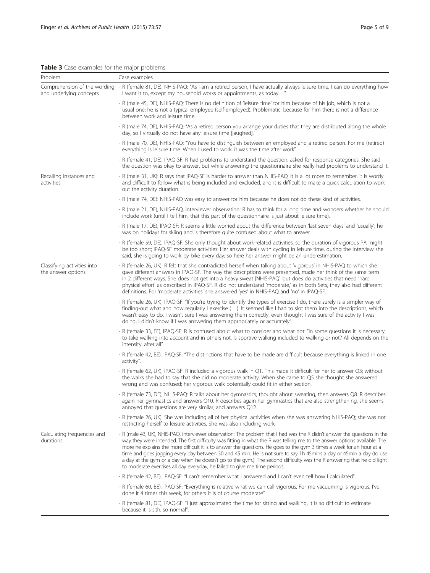# <span id="page-4-0"></span>Table 3 Case examples for the major problems

| <b>IN S</b> Case examples for the major problems  |                                                                                                                                                                                                                                                                                                                                                                                                                                                                                                                                                                                                                                                                                                                 |
|---------------------------------------------------|-----------------------------------------------------------------------------------------------------------------------------------------------------------------------------------------------------------------------------------------------------------------------------------------------------------------------------------------------------------------------------------------------------------------------------------------------------------------------------------------------------------------------------------------------------------------------------------------------------------------------------------------------------------------------------------------------------------------|
| Problem                                           | Case examples                                                                                                                                                                                                                                                                                                                                                                                                                                                                                                                                                                                                                                                                                                   |
| and underlying concepts                           | Comprehension of the wording - R (female 81, DE), NHIS-PAQ: "As I am a retired person, I have actually always leisure time, I can do everything how<br>I want it to, except my household works or appointments, as today".                                                                                                                                                                                                                                                                                                                                                                                                                                                                                      |
|                                                   | - R (male 45, DE), NHIS-PAQ: There is no definition of 'leisure time' for him because of his job, which is not a<br>usual one; he is not a typical employee (self-employed). Problematic, because for him there is not a difference<br>between work and leisure time.                                                                                                                                                                                                                                                                                                                                                                                                                                           |
|                                                   | - R (male 74, DE), NHIS-PAQ: "As a retired person you arrange your duties that they are distributed along the whole<br>day, so I virtually do not have any leisure time [laughed]."                                                                                                                                                                                                                                                                                                                                                                                                                                                                                                                             |
|                                                   | - R (male 70, DE), NHIS-PAQ: "You have to distinguish between an employed and a retired person. For me (retired)<br>everything is leisure time. When I used to work, it was the time after work".                                                                                                                                                                                                                                                                                                                                                                                                                                                                                                               |
|                                                   | - R (female 41, DE), IPAQ-SF: R had problems to understand the question, asked for response categories. She said<br>the question was okay to answer, but while answering the questionnaire she really had problems to understand it.                                                                                                                                                                                                                                                                                                                                                                                                                                                                            |
| Recalling instances and<br>activities             | - R (male 31, UK): R says that IPAQ-SF is harder to answer than NHIS-PAQ: It is a lot more to remember, it is wordy<br>and difficult to follow what is being included and excluded, and it is difficult to make a quick calculation to work<br>out the activity duration.                                                                                                                                                                                                                                                                                                                                                                                                                                       |
|                                                   | - R (male 74, DE): NHIS-PAQ was easy to answer for him because he does not do these kind of activities.                                                                                                                                                                                                                                                                                                                                                                                                                                                                                                                                                                                                         |
|                                                   | - R (male 21, DE), NHIS-PAQ, interviewer observation: R has to think for a long time and wonders whether he should<br>include work (until I tell him, that this part of the questionnaire is just about leisure time).                                                                                                                                                                                                                                                                                                                                                                                                                                                                                          |
|                                                   | - R (male 17, DE), IPAQ-SF: R seems a little worried about the difference between 'last seven days' and 'usually'; he<br>was on holidays for skiing and is therefore guite confused about what to answer.                                                                                                                                                                                                                                                                                                                                                                                                                                                                                                       |
|                                                   | - R (female 59, DE), IPAQ-SF: She only thought about work-related activities, so the duration of vigorous PA might<br>be too short; IPAQ-SF moderate activities: Her answer deals with cycling in leisure time, during the interview she<br>said, she is going to work by bike every day; so here her answer might be an underestimation.                                                                                                                                                                                                                                                                                                                                                                       |
| Classifying activities into<br>the answer options | - R (female 26, UK): R felt that she contradicted herself when talking about 'vigorous' in NHIS-PAQ to which she<br>gave different answers in IPAQ-SF. The way the descriptions were presented, made her think of the same term<br>in 2 different ways. She does not get into a heavy sweat [NHIS-PAQ] but does do activities that need 'hard<br>physical effort' as described in IPAQ-SF. R did not understand 'moderate,' as in both Sets, they also had different<br>definitions. For 'moderate activities' she answered 'yes' in NHIS-PAQ and 'no' in IPAQ-SF.                                                                                                                                              |
|                                                   | - R (female 26, UK), IPAQ-SF: "If you're trying to identify the types of exercise I do, there surely is a simpler way of<br>finding-out what and how regularly I exercise (). It seemed like I had to slot them into the descriptions, which<br>wasn't easy to do. I wasn't sure I was answering them correctly, even thought I was sure of the activity I was<br>doing, I didn't know if I was answering them appropriately or accurately".                                                                                                                                                                                                                                                                    |
|                                                   | - R (female 33, EE), IPAQ-SF: R is confused about what to consider and what not: "In some questions it is necessary<br>to take walking into account and in others not. Is sportive walking included to walking or not? All depends on the<br>intensity, after all".                                                                                                                                                                                                                                                                                                                                                                                                                                             |
|                                                   | - R (female 42, BE), IPAQ-SF: "The distinctions that have to be made are difficult because everything is linked in one<br>activity".                                                                                                                                                                                                                                                                                                                                                                                                                                                                                                                                                                            |
|                                                   | - R (female 62, UK), IPAQ-SF: R included a vigorous walk in Q1. This made it difficult for her to answer Q3; without<br>the walks she had to say that she did no moderate activity. When she came to Q5 she thought she answered<br>wrong and was confused; her vigorous walk potentially could fit in either section.                                                                                                                                                                                                                                                                                                                                                                                          |
|                                                   | - R (female 73, DE), NHIS-PAQ: R talks about her gymnastics, thought about sweating, then answers Q8. R describes<br>again her gymnastics and answers Q10. R describes again her gymnastics that are also strengthening, she seems<br>annoyed that questions are very similar, and answers Q12.                                                                                                                                                                                                                                                                                                                                                                                                                 |
|                                                   | - R (female 26, UK): She was including all of her physical activities when she was answering NHIS-PAQ; she was not<br>restricting herself to leisure activities. She was also including work.                                                                                                                                                                                                                                                                                                                                                                                                                                                                                                                   |
| Calculating frequencies and<br>durations          | - R (male 43, UK), NHIS-PAQ, interviewer observation: The problem that I had was the R didn't answer the questions in the<br>way they were intended. The first difficulty was fitting in what the R was telling me to the answer options available. The<br>more he explains the more difficult it is to answer the questions. He goes to the gym 3 times a week for an hour at a<br>time and goes jogging every day between 30 and 45 min. He is not sure to say 1h 45mins a day or 45min a day (to use<br>a day at the gym or a day when he doesn't go to the gym.). The second difficulty was the R answering that he did light<br>to moderate exercises all day everyday, he failed to give me time periods. |
|                                                   | - R (female 42, BE), IPAQ-SF: "I can't remember what I answered and I can't even tell how I calculated".                                                                                                                                                                                                                                                                                                                                                                                                                                                                                                                                                                                                        |
|                                                   | - R (female 60, BE), IPAQ-SF: "Everything is relative what we can call vigorous. For me vacuuming is vigorous, I've<br>done it 4 times this week, for others it is of course moderate".                                                                                                                                                                                                                                                                                                                                                                                                                                                                                                                         |
|                                                   | - R (female 81, DE), IPAQ-SF: "I just approximated the time for sitting and walking, it is so difficult to estimate<br>because it is s.th. so normal".                                                                                                                                                                                                                                                                                                                                                                                                                                                                                                                                                          |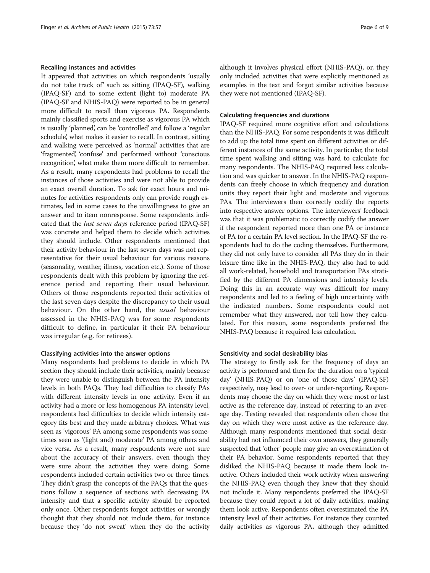#### Recalling instances and activities

It appeared that activities on which respondents 'usually do not take track of' such as sitting (IPAQ-SF), walking (IPAQ-SF) and to some extent (light to) moderate PA (IPAQ-SF and NHIS-PAQ) were reported to be in general more difficult to recall than vigorous PA. Respondents mainly classified sports and exercise as vigorous PA which is usually 'planned', can be 'controlled' and follow a 'regular schedule', what makes it easier to recall. In contrast, sitting and walking were perceived as 'normal' activities that are 'fragmented', 'confuse' and performed without 'conscious recognition', what make them more difficult to remember. As a result, many respondents had problems to recall the instances of those activities and were not able to provide an exact overall duration. To ask for exact hours and minutes for activities respondents only can provide rough estimates, led in some cases to the unwillingness to give an answer and to item nonresponse. Some respondents indicated that the last seven days reference period (IPAQ-SF) was concrete and helped them to decide which activities they should include. Other respondents mentioned that their activity behaviour in the last seven days was not representative for their usual behaviour for various reasons (seasonality, weather, illness, vacation etc.). Some of those respondents dealt with this problem by ignoring the reference period and reporting their usual behaviour. Others of those respondents reported their activities of the last seven days despite the discrepancy to their usual behaviour. On the other hand, the usual behaviour assessed in the NHIS-PAQ was for some respondents difficult to define, in particular if their PA behaviour was irregular (e.g. for retirees).

#### Classifying activities into the answer options

Many respondents had problems to decide in which PA section they should include their activities, mainly because they were unable to distinguish between the PA intensity levels in both PAQs. They had difficulties to classify PAs with different intensity levels in one activity. Even if an activity had a more or less homogenous PA intensity level, respondents had difficulties to decide which intensity category fits best and they made arbitrary choices. What was seen as 'vigorous' PA among some respondents was sometimes seen as '(light and) moderate' PA among others and vice versa. As a result, many respondents were not sure about the accuracy of their answers, even though they were sure about the activities they were doing. Some respondents included certain activities two or three times. They didn't grasp the concepts of the PAQs that the questions follow a sequence of sections with decreasing PA intensity and that a specific activity should be reported only once. Other respondents forgot activities or wrongly thought that they should not include them, for instance because they 'do not sweat' when they do the activity although it involves physical effort (NHIS-PAQ), or, they only included activities that were explicitly mentioned as examples in the text and forgot similar activities because they were not mentioned (IPAQ-SF).

#### Calculating frequencies and durations

IPAQ-SF required more cognitive effort and calculations than the NHIS-PAQ. For some respondents it was difficult to add up the total time spent on different activities or different instances of the same activity. In particular, the total time spent walking and sitting was hard to calculate for many respondents. The NHIS-PAQ required less calculation and was quicker to answer. In the NHIS-PAQ respondents can freely choose in which frequency and duration units they report their light and moderate and vigorous PAs. The interviewers then correctly codify the reports into respective answer options. The interviewers' feedback was that it was problematic to correctly codify the answer if the respondent reported more than one PA or instance of PA for a certain PA level section. In the IPAQ-SF the respondents had to do the coding themselves. Furthermore, they did not only have to consider all PAs they do in their leisure time like in the NHIS-PAQ, they also had to add all work-related, household and transportation PAs stratified by the different PA dimensions and intensity levels. Doing this in an accurate way was difficult for many respondents and led to a feeling of high uncertainty with the indicated numbers. Some respondents could not remember what they answered, nor tell how they calculated. For this reason, some respondents preferred the NHIS-PAQ because it required less calculation.

#### Sensitivity and social desirability bias

The strategy to firstly ask for the frequency of days an activity is performed and then for the duration on a 'typical day' (NHIS-PAQ) or on 'one of those days' (IPAQ-SF) respectively, may lead to over- or under-reporting. Respondents may choose the day on which they were most or last active as the reference day, instead of referring to an average day. Testing revealed that respondents often chose the day on which they were most active as the reference day. Although many respondents mentioned that social desirability had not influenced their own answers, they generally suspected that 'other' people may give an overestimation of their PA behavior. Some respondents reported that they disliked the NHIS-PAQ because it made them look inactive. Others included their work activity when answering the NHIS-PAQ even though they knew that they should not include it. Many respondents preferred the IPAQ-SF because they could report a lot of daily activities, making them look active. Respondents often overestimated the PA intensity level of their activities. For instance they counted daily activities as vigorous PA, although they admitted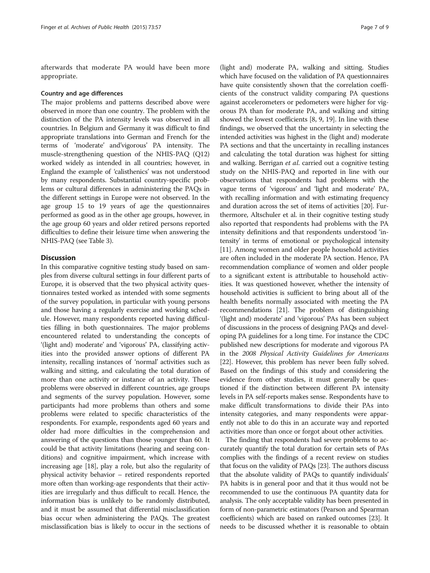afterwards that moderate PA would have been more appropriate.

#### Country and age differences

The major problems and patterns described above were observed in more than one country. The problem with the distinction of the PA intensity levels was observed in all countries. In Belgium and Germany it was difficult to find appropriate translations into German and French for the terms of 'moderate' and'vigorous' PA intensity. The muscle-strengthening question of the NHIS-PAQ (Q12) worked widely as intended in all countries; however, in England the example of 'calisthenics' was not understood by many respondents. Substantial country-specific problems or cultural differences in administering the PAQs in the different settings in Europe were not observed. In the age group 15 to 19 years of age the questionnaires performed as good as in the other age groups, however, in the age group 60 years and older retired persons reported difficulties to define their leisure time when answering the NHIS-PAQ (see Table [3\)](#page-4-0).

#### **Discussion**

In this comparative cognitive testing study based on samples from diverse cultural settings in four different parts of Europe, it is observed that the two physical activity questionnaires tested worked as intended with some segments of the survey population, in particular with young persons and those having a regularly exercise and working schedule. However, many respondents reported having difficulties filling in both questionnaires. The major problems encountered related to understanding the concepts of '(light and) moderate' and 'vigorous' PA, classifying activities into the provided answer options of different PA intensity, recalling instances of 'normal' activities such as walking and sitting, and calculating the total duration of more than one activity or instance of an activity. These problems were observed in different countries, age groups and segments of the survey population. However, some participants had more problems than others and some problems were related to specific characteristics of the respondents. For example, respondents aged 60 years and older had more difficulties in the comprehension and answering of the questions than those younger than 60. It could be that activity limitations (hearing and seeing conditions) and cognitive impairment, which increase with increasing age [[18\]](#page-8-0), play a role, but also the regularity of physical activity behavior – retired respondents reported more often than working-age respondents that their activities are irregularly and thus difficult to recall. Hence, the information bias is unlikely to be randomly distributed, and it must be assumed that differential misclassification bias occur when administering the PAQs. The greatest misclassification bias is likely to occur in the sections of

(light and) moderate PA, walking and sitting. Studies which have focused on the validation of PA questionnaires have quite consistently shown that the correlation coefficients of the construct validity comparing PA questions against accelerometers or pedometers were higher for vigorous PA than for moderate PA, and walking and sitting showed the lowest coefficients [[8, 9](#page-8-0), [19\]](#page-8-0). In line with these findings, we observed that the uncertainty in selecting the intended activities was highest in the (light and) moderate PA sections and that the uncertainty in recalling instances and calculating the total duration was highest for sitting and walking. Berrigan et al. carried out a cognitive testing study on the NHIS-PAQ and reported in line with our observations that respondents had problems with the vague terms of 'vigorous' and 'light and moderate' PA, with recalling information and with estimating frequency and duration across the set of items of activities [[20](#page-8-0)]. Furthermore, Altschuler et al. in their cognitive testing study also reported that respondents had problems with the PA intensity definitions and that respondents understood 'intensity' in terms of emotional or psychological intensity [[11](#page-8-0)]. Among women and older people household activities are often included in the moderate PA section. Hence, PA recommendation compliance of women and older people to a significant extent is attributable to household activities. It was questioned however, whether the intensity of household activities is sufficient to bring about all of the health benefits normally associated with meeting the PA recommendations [\[21\]](#page-8-0). The problem of distinguishing '(light and) moderate' and 'vigorous' PAs has been subject of discussions in the process of designing PAQs and developing PA guidelines for a long time. For instance the CDC published new descriptions for moderate and vigorous PA in the 2008 Physical Activity Guidelines for Americans [[22](#page-8-0)]. However, this problem has never been fully solved. Based on the findings of this study and considering the evidence from other studies, it must generally be questioned if the distinction between different PA intensity levels in PA self-reports makes sense. Respondents have to make difficult transformations to divide their PAs into intensity categories, and many respondents were apparently not able to do this in an accurate way and reported activities more than once or forgot about other activities.

The finding that respondents had severe problems to accurately quantify the total duration for certain sets of PAs complies with the findings of a recent review on studies that focus on the validity of PAQs [\[23\]](#page-8-0). The authors discuss that the absolute validity of PAQs to quantify individuals' PA habits is in general poor and that it thus would not be recommended to use the continuous PA quantity data for analysis. The only acceptable validity has been presented in form of non-parametric estimators (Pearson and Spearman coefficients) which are based on ranked outcomes [\[23\]](#page-8-0). It needs to be discussed whether it is reasonable to obtain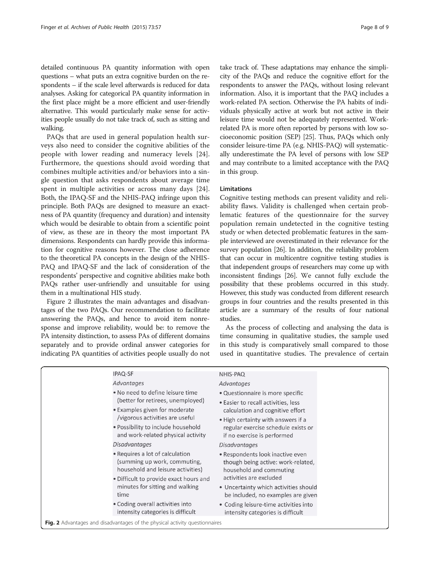detailed continuous PA quantity information with open questions – what puts an extra cognitive burden on the respondents – if the scale level afterwards is reduced for data analyses. Asking for categorical PA quantity information in the first place might be a more efficient and user-friendly alternative. This would particularly make sense for activities people usually do not take track of, such as sitting and walking.

PAQs that are used in general population health surveys also need to consider the cognitive abilities of the people with lower reading and numeracy levels [\[24](#page-8-0)]. Furthermore, the questions should avoid wording that combines multiple activities and/or behaviors into a single question that asks respondents about average time spent in multiple activities or across many days [\[24](#page-8-0)]. Both, the IPAQ-SF and the NHIS-PAQ infringe upon this principle. Both PAQs are designed to measure an exactness of PA quantity (frequency and duration) and intensity which would be desirable to obtain from a scientific point of view, as these are in theory the most important PA dimensions. Respondents can hardly provide this information for cognitive reasons however. The close adherence to the theoretical PA concepts in the design of the NHIS-PAQ and IPAQ-SF and the lack of consideration of the respondents' perspective and cognitive abilities make both PAQs rather user-unfriendly and unsuitable for using them in a multinational HIS study.

Figure 2 illustrates the main advantages and disadvantages of the two PAQs. Our recommendation to facilitate answering the PAQs, and hence to avoid item nonresponse and improve reliability, would be: to remove the PA intensity distinction, to assess PAs of different domains separately and to provide ordinal answer categories for indicating PA quantities of activities people usually do not take track of. These adaptations may enhance the simplicity of the PAQs and reduce the cognitive effort for the respondents to answer the PAQs, without losing relevant information. Also, it is important that the PAQ includes a work-related PA section. Otherwise the PA habits of individuals physically active at work but not active in their leisure time would not be adequately represented. Workrelated PA is more often reported by persons with low socioeconomic position (SEP) [\[25\]](#page-8-0). Thus, PAQs which only consider leisure-time PA (e.g. NHIS-PAQ) will systematically underestimate the PA level of persons with low SEP and may contribute to a limited acceptance with the PAQ in this group.

### Limitations

Cognitive testing methods can present validity and reliability flaws. Validity is challenged when certain problematic features of the questionnaire for the survey population remain undetected in the cognitive testing study or when detected problematic features in the sample interviewed are overestimated in their relevance for the survey population [[26](#page-8-0)]. In addition, the reliability problem that can occur in multicentre cognitive testing studies is that independent groups of researchers may come up with inconsistent findings [\[26\]](#page-8-0). We cannot fully exclude the possibility that these problems occurred in this study. However, this study was conducted from different research groups in four countries and the results presented in this article are a summary of the results of four national studies.

As the process of collecting and analysing the data is time consuming in qualitative studies, the sample used in this study is comparatively small compared to those used in quantitative studies. The prevalence of certain

| IPAQ-SF                                                                     |                                                                                                                                                                                                                                                            | NHIS-PAQ                                                                                                                                                                                                                                                                                  |
|-----------------------------------------------------------------------------|------------------------------------------------------------------------------------------------------------------------------------------------------------------------------------------------------------------------------------------------------------|-------------------------------------------------------------------------------------------------------------------------------------------------------------------------------------------------------------------------------------------------------------------------------------------|
| Advantages                                                                  |                                                                                                                                                                                                                                                            | Advantages                                                                                                                                                                                                                                                                                |
| <b>Disadvantages</b>                                                        | . No need to define leisure time<br>(better for retirees, unemployed)<br>• Examples given for moderate<br>/vigorous activities are useful<br>• Possibility to include household<br>and work-related physical activity                                      | • Questionnaire is more specific<br>• Easier to recall activities, less<br>calculation and cognitive effort<br>. High certainty with answers if a<br>regular exercise schedule exists or<br>if no exercise is performed<br><b>Disadvantages</b>                                           |
| time                                                                        | • Requires a lot of calculation<br>(summing up work, commuting,<br>household and leisure activities)<br>· Difficult to provide exact hours and<br>minutes for sitting and walking<br>• Coding overall activities into<br>intensity categories is difficult | • Respondents look inactive even<br>though being active: work-related,<br>household and commuting<br>activities are excluded<br>• Uncertainty which activities should<br>be included, no examples are given<br>• Coding leisure-time activities into<br>intensity categories is difficult |
| Fig. 2 Advantages and disadvantages of the physical activity questionnaires |                                                                                                                                                                                                                                                            |                                                                                                                                                                                                                                                                                           |